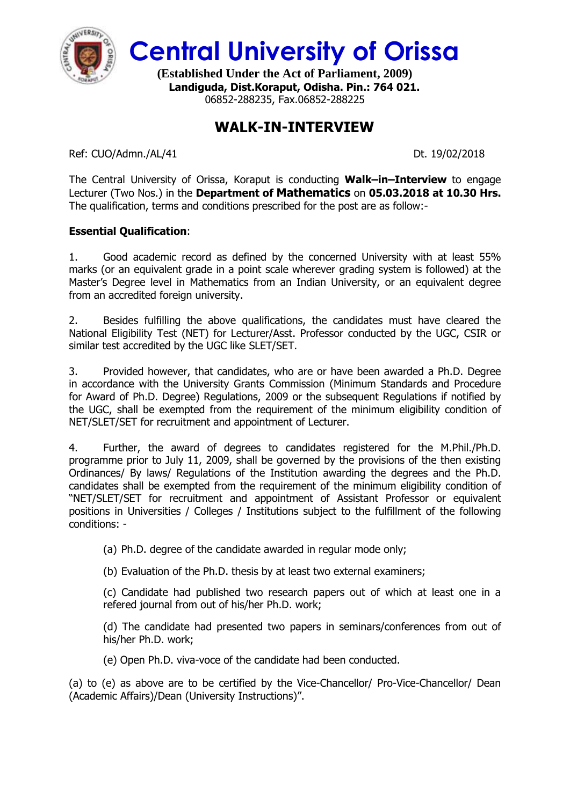

**Central University of Orissa**

**(Established Under the Act of Parliament, 2009) Landiguda, Dist.Koraput, Odisha. Pin.: 764 021.** 06852-288235, Fax.06852-288225

## **WALK-IN-INTERVIEW**

Ref: CUO/Admn./AL/41 Dt. 19/02/2018

The Central University of Orissa, Koraput is conducting **Walk–in–Interview** to engage Lecturer (Two Nos.) in the **Department of Mathematics** on **05.03.2018 at 10.30 Hrs.** The qualification, terms and conditions prescribed for the post are as follow:-

## **Essential Qualification**:

1. Good academic record as defined by the concerned University with at least 55% marks (or an equivalent grade in a point scale wherever grading system is followed) at the Master's Degree level in Mathematics from an Indian University, or an equivalent degree from an accredited foreign university.

2. Besides fulfilling the above qualifications, the candidates must have cleared the National Eligibility Test (NET) for Lecturer/Asst. Professor conducted by the UGC, CSIR or similar test accredited by the UGC like SLET/SET.

3. Provided however, that candidates, who are or have been awarded a Ph.D. Degree in accordance with the University Grants Commission (Minimum Standards and Procedure for Award of Ph.D. Degree) Regulations, 2009 or the subsequent Regulations if notified by the UGC, shall be exempted from the requirement of the minimum eligibility condition of NET/SLET/SET for recruitment and appointment of Lecturer.

4. Further, the award of degrees to candidates registered for the M.Phil./Ph.D. programme prior to July 11, 2009, shall be governed by the provisions of the then existing Ordinances/ By laws/ Regulations of the Institution awarding the degrees and the Ph.D. candidates shall be exempted from the requirement of the minimum eligibility condition of "NET/SLET/SET for recruitment and appointment of Assistant Professor or equivalent positions in Universities / Colleges / Institutions subject to the fulfillment of the following conditions: -

(a) Ph.D. degree of the candidate awarded in regular mode only;

(b) Evaluation of the Ph.D. thesis by at least two external examiners;

(c) Candidate had published two research papers out of which at least one in a refered journal from out of his/her Ph.D. work;

(d) The candidate had presented two papers in seminars/conferences from out of his/her Ph.D. work;

(e) Open Ph.D. viva-voce of the candidate had been conducted.

(a) to (e) as above are to be certified by the Vice-Chancellor/ Pro-Vice-Chancellor/ Dean (Academic Affairs)/Dean (University Instructions)".